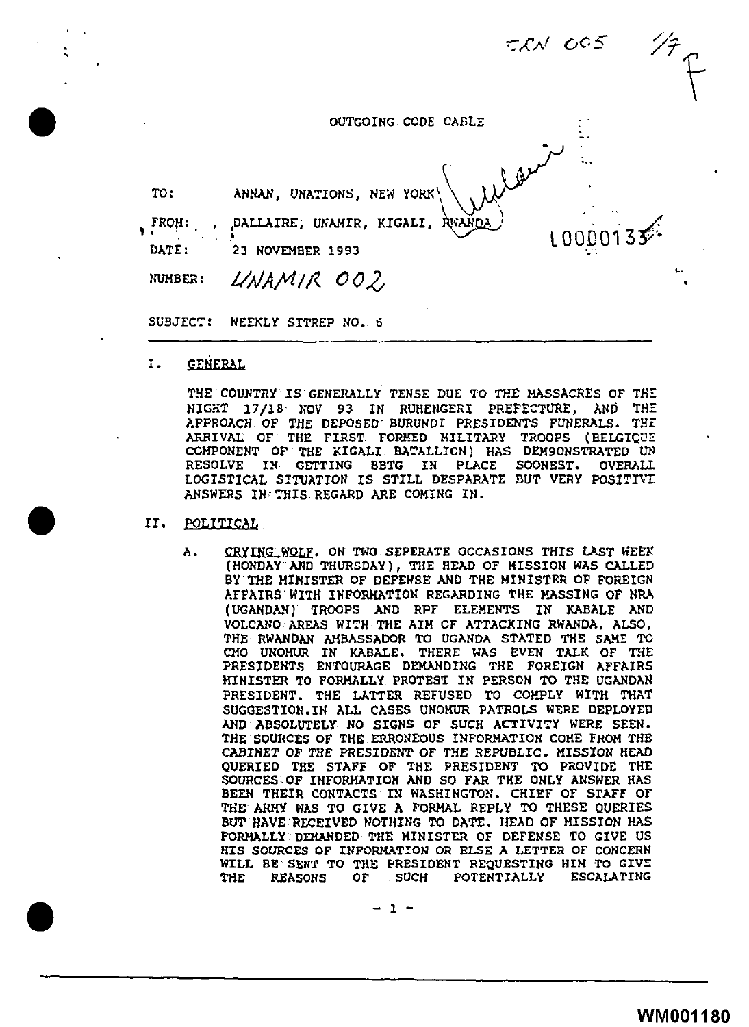$AC5$ 

|                 |                                                             | <b>ERN OGS</b> |  |
|-----------------|-------------------------------------------------------------|----------------|--|
|                 | OUTGOING CODE CABLE                                         |                |  |
| TO:             | ANNAN, UNATIONS, NEW YORK                                   |                |  |
| . FROH:         | <b>AWANDA</b><br>. , <sub>[</sub> DALLAIRE, UNAMIR, KIGALI, | 10000133       |  |
| DATE:           | 23 NOVEMBER 1993                                            |                |  |
| NUMBER:         | UNAMIR 002                                                  |                |  |
| <b>SUBJECT:</b> | WEEKLY SITREP NO. 6                                         |                |  |

I. GENERAL

•

•

•

THE COUNTRY IS GENERALLY TENSE DUE TO THE MASSACRES OF THE NIGHT 17/18 NOV 93 IN RUHENGERI PREFECTURE, AND THE APPROACH OF THE DEPOSED BURUNDI PRESIDENTS FUNERALS. THE ARRIVAL OF THE FIRST FORMED MILITARY TROOPS (BELGIQUE COMPONENT OF THE KIGALI BATALLION) HAS DEM9ONSTRATED UN RESOLVE IN· GETTING BBTG IM PLACE SOONEST. OVERALL LOGISTICAL SITUATION IS STILL DESPARATE BUT VERY POSITIVE ANSWERS IN THIS REGARD ARE COMING IN.

#### II. POLITICAL

A. CRYING WOLF. ON TWO SEPERATE OCCASIONS THIS LAST WEEK (MONDAY AND THURSDAY), THE HEAD OF MISSION WAS CALLED BY THE MINISTER OF DEFENSE AND THE MINISTER OF FOREIGN AFFAIRS"WITH INFORMATION REGARDING THE MASSING OF NRA (UGANDAN) TROOPS AND RPF ELEMENTS IN KABALE AND VOLCANO"AREAS WITH THE AIM OF ATTACKING RWANDA, ALSO, THE RWANDAN AMBASSADOR TO UGANDA STATED THE SAME TO CHO UNOHtlR IN KABALE. THERE WAS EVEN TALK OF THE PRESIDENTS ENTOURAGE DEMANDING THE FOREIGN AFFAIRS MINISTER TO FORMALLY PROTEST IN PERSON TO THE UGANDAN PRESIDENT. THE LATTER REFUSED TO COMPLY WITH THAT SUGGESTION.IN ALL CASES UNOMUR PATROLS WERE DEPLOYED AND ABSOLUTELY NO SIGNS OF SUCH ACTIVITY WERE SEEN. THE SOURCES OF THE ERRONEOUS INFORMATION COME FROM THE CABINET OF THE PRESIDENT OF THE REPUBLIC. MISSION HEAD QUERIED THE STAFF OF THE PRESIDENT TO PROVIDE THE SOURCES-OF INFORMATION AND SO FAR THE ONLY AMSWER HAS BEEN THEIR CONTACTS IN WASHINGTON. CHIEF OF STAFF OF THE ARMY WAS TO GIVE A FORMAL REPLY TO TRESE QUERIES BUT HAVE RECEIVED NOTHING TO DATE. HEAD OF MISSION HAS FORMALLY DEMANDED THE MINISTER OF DEFENSE TO GIVE US HIS SOURCES OF INFORMATION OR ELSE A LETTER OF CONCERN WILL BE SENT TO THE PRESIDENT REQUESTING HIM TO GIVE THE REASONS OF .SUCH POTENTIALLY ESCALATING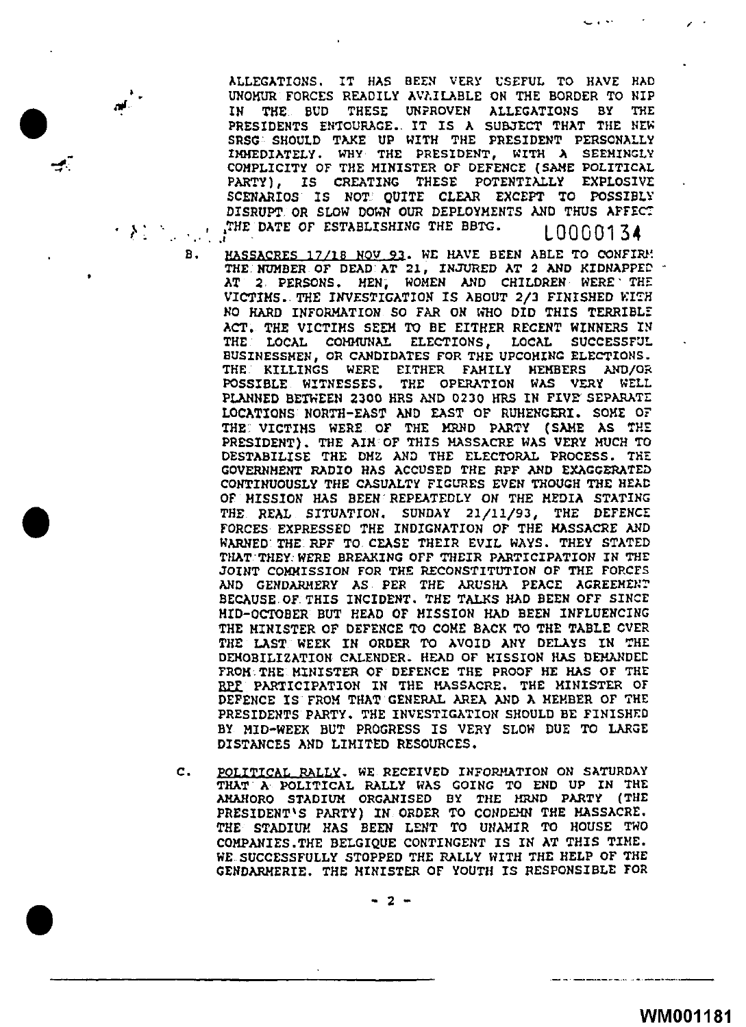ALLEGATIONS. IT HAS BEEN VERY USEFUL TO HAVE HAD UNOMUR FORCES READILY AVAILABLE ON THE BORDER TO NIP IN THE . IN THE BUD THESE UNPROVEN ALLEGATIONS BY THE PRESIDENTS ENTOURAGE. IT IS A SUBJECT THAT THE NEW SRSG SHOULD TAKE UP WITH THE PRESIDENT PERSONALLY IMMEDIATELY. WHY THE PRESIDENT, WITH A SEEMINGLY COMPLICITY OF THE MINISTER OF DEFENCE (SAME POLITICAL PARTY), IS CREATING THESE POTENTIALLY EXPLOSIVE SCENARIOS IS NOT QUITE CLEAR EXCEPT TO POSSIBLY DISRUPT OR SLOW DOWN OUR DEPLOYMENTS AND THUS APFECT \_ifHE DATE or ESTABLISHING THE BBTG · L Q Q Q Q 1 3 <sup>~</sup>

.\_ I ~·

 $\epsilon$  .

 $\mathcal{N}$  . It is a set of  $\mathcal{N}$ 

 $\neq$ 

- B. HASSACRES 17/18 NOV 93. WE HAVE BEEN ABLE TO CONFIRM! THE NUMBER OF DEAD AT 21, INJURED AT 2 AND KIDNAPPEP AT 2 PERSONS. MEN; WOMEN AND CHILDREN WERE' THE VICTIMS. THE INVESTIGATION IS ABOUT 2/3 FINISHED WITH NO HARD INFORMATION SO FAR ON WHO DID THIS TERRIBLE ACT, THE VICTIMS SEEM TO BE EITHER RECENT WINNERS IN THE VICTIMS SEEM TO BE EITHER RECENT WINNERS IN LOCAL COMMUNAL ELECTIONS, BUSINESSMEN, OR CANDIDATES FOR THE UPCOMING ELECTIONS. THE KILLINGS WERE EITHER FAMILY MEMBERS AND/OR POSSIBLE WITNESSES, THE OPERATION WAS VERY WELL PLANNED BETWEEN 2300 HRS AND 0230 HRS IN FIVE' SEPARATE LOCATIONS NORTH-EAST AND EAST OF RUHENGERI. SOHE OF THE VICTINS WERE OF THE MRND PARTY (SAME AS THE PRESIDENT). THE AIN OF THIS MASSACRE WAS VERY NUCH TO DESTABILISE THE DMZ AND THE ELECTORAL PROCESS. THE GOVERNMENT RADIO HAS ACCUSED THE RPF AND EXAGGERATED CONTINUOUSLY THE CASUALTY FIGURES EVEN THOUGH THE HEAD OF HISSION HAS BEEN REPEATEDLY ON THE MEDIA STATING THE REAL SITUATION. SUNDAY 21/11/93, THE DEFENCE FORCES EXPRESSED THE INDIGNATION OF THE MASSACRE AND WARNED THE RPF TO CEASE THEIR EVIL WAYS. THEY STATED THAT. THEY: WERE BREAKING OFF THEIR PARTICIPATION IN THE JOINT COMMISSION FOR THE RECONSTITUTION OF THE FORCES AND GENDARMERY AS PER THE ARUSHA PEACE AGREEMENT BECAUSE OF. THIS INCIDENT. THE TALKS HAD BEEN OFF SINCE HID-OCTOBER BUT HEAD OF MISSION HAD BEEN INFLUENCING THE MINISTER OF DEFENCE TO COME BACK TO THE TABLE CVER THE LAST WEEK IN ORDER TO AVOID ANY DELAYS IN THE DEMOBILIZATION CALENDER. HEAD OF MISSION HAS DEMANDEt FROM. THE MINISTER OF DEFENCE THE PROOF HE HAS OF THE RPF PARTICIPATION IN THE HASSACRE. THE MINISTER OF DEFENCE IS FROM THAT GENERAL AREA AND A MEMBER OF 711E PRESIDENTS PARTY. THE INVESTIGATION SHOULD BE FINISHED BY MID-WEEK BUT PROGRESS IS VERY SLOW DUE TO LARGE DISTANCES AND LIMITED RESOURCES,
- C. PQLITICAL RALLY. WE RECEIVED INFORMATION ON SATURDAY THAT. A POLITICAL RALLY WAS GOING TO END UP IN THE AHAHORO STADIUM ORGANISED BY THE MRND PARTY (THE PRESIDENT'S PARTY) IN ORDER TO CONDEMN THE MASSACRE. THE STADIUM HAS BEEN LENT TO UNAMIR TO HOUSE TWO COMPANIES.THE BELGIQUE CONTINGENT IS IN AT THIS TIME. WE SUCCESSFULLY STOPPED THE RALLY WITH THE HELP OF THE GENDARMERIE. THE MINISTER OF YOUTH IS RESPONSIBLE FOR

- 2 -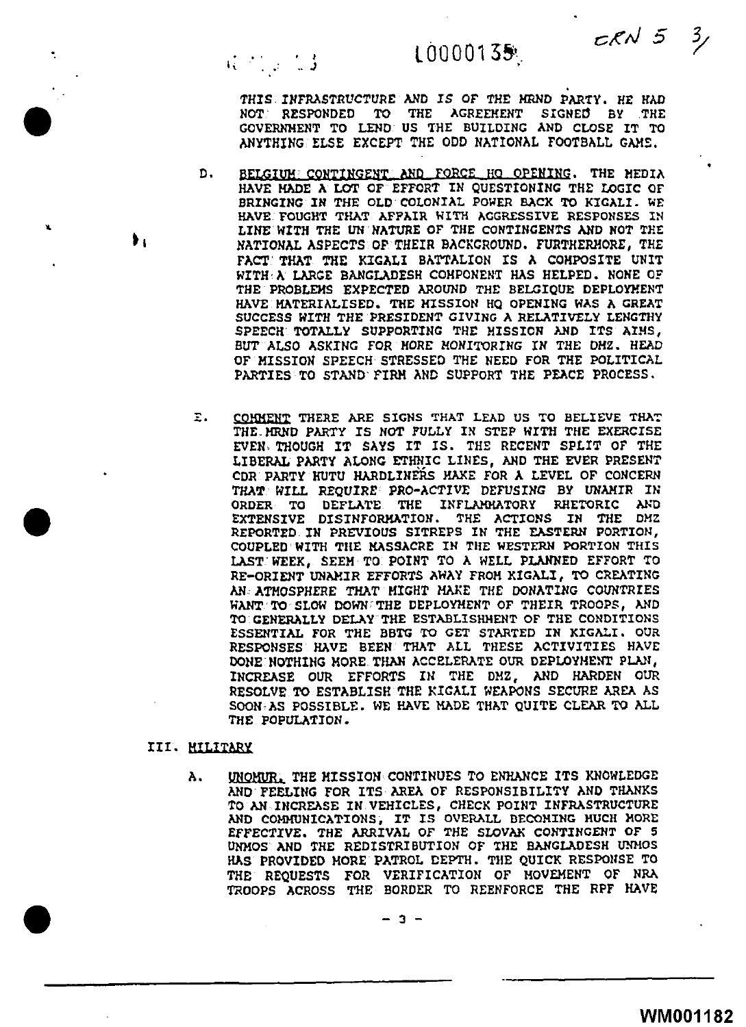# 10000135

 $CKN$  5

 $\mathcal{Z}_{\mathscr{S}}$ 

THIS INFRASTRUCTURE AND IS OF THE HRND PARTY. HE HAD<br>NOT RESPONDED TO THE AGREEMENT SIGNED BY THE  $NOT$  RESPONDED TO THE AGREEMENT GOVERNMENT TO LEND US THE BUILDING AND CLOSE IT TO ANYTHING ELSE EXCEPT THE ODD NATIONAL FOOTBALL GAME.

- D. BELGIUM CONTINGENT AND FORCE HO OPENING, THE MEDIA HAVE HADE A LOT OF EFFORT IN QUESTIONING THE LOGIC OF BRINGING IN THE OLD COLONIAL POWER BACK TO KIGALI. WE HAVE FOUGHT THAT AFFAIR WITH AGGRESSIVE RESPONSES IN LINE WITH THE UN NATURE OF THE CONTINGENTS AND NOT THE NATIONAL ASPECTS OF THEIR BACKGROUND. FURTHERMORE, THE FACT THAT THE KIGALI BATTALION IS A COMPOSITE UNIT WITH·A LARGE BANGLADESH COMPONENT HAS HELPED. NONE OF THE PROBLEMS EXPECTED AROUND THE BELGIQUE DEPLOYMENT HAVE MATERIALISED. THE MISSION HO OPENING WAS A GREAT SUCCESS WITH THE PRESIDENT GIVING A RELATIVELY LENGTHY SPEECH TOTALLY SUPPORTING THE MISSION AND ITS AIMS, BUT ALSO ASKING FOR MORE MONITORING IN THE DMZ. HEAD OF MISSION SPEECH STRESSED THE NEED FOR THE POLITICAL PARTIES TO STANO· FIRM AND SUPPORT THE PEACE PROCESS.
- E. COHNENT THERE ARE SIGNS THAT LEAD US TO BELIEVE THAT THE-HRND PARTY IS NOT FULLY IN STEP WITH THE EXERCISE EVEN• THOUGH IT SAYS IT IS. THE RECENT SPLIT OF THE LIBERAL PARTY ALONG ETHNIC LINES, AND THE EVER PRESENT CDR PARTY HUTU HARDLINERS HAKE FOR A LEVEL OF CONCERN THAT WILL REQUIRE PRO-ACTIVE DEFUSING BY UNAMIR IN ORDER TO DEFLATE THE INFLAMMATORY RHETORIC AND EXTENSIVE DISINFORMATION. THE ACTIONS IN THE DMZ REPORTED IN PREVIOUS SITREPS IN THE EASTERN PORTION, COUPLED· WITH TilE MASSACRE IN TilE WESTERN PORTION THIS LAST· WEEK, SEEM TO POINT TO A WELL PLANNED EFFORT TO RE-ORIENT UNAMIR EFFORTS AWAY FROM KIGALI, TO CREATING AN ATMOSPHERE THAT MIGHT MAKE THE DONATING COUNTRIES WANT TO SLOW DOWN THE DEPLOYMENT OF THEIR TROOPS, AND TO GENERALLY DELAY THE ESTABLISHHENT OF THE CONDITIONS ESSENTIAL FOR THE BBTG TO GET STARTED IN KIGALI. OUR RESPONSES HAVE BEEN THAT ALL THESE ACTIVITIES HAVE OONE.HOTHING MORE THAN ACCELERATE OUR DEPLOYMENT PLAN, INCREASE OUR EFFORTS IN THE DMZ, AND HARDEN OUR RESOLVE TO ESTABLISH THE KIGALI WEAPONS SECURE AREA AS SOON:AS POSSIBLE. WE HAVE HADE THAT QUITE CLEAR TO ALL THE POPULATION.

### III. HILITAAV

•.

•

•

••

 $R \simeq 1.3$ 

A. UNOMUR. THE HISSION CONTINUES TO ENHANCE ITS KNOWLEDGE AND FEELING FOR ITS AREA OF RESPONSIBILITY AND THANKS TO AN INCREASE IN. VEHICLES, CHECK POINT INFRASTRUCTURE AND COMMUNICATIONS, IT IS OVERALL BECOMING MUCH MORE EFFECTIVE. THE ARRIVAL OF THE SLOVAK CONTINGENT OF 5 UNMOS AND THE REDISTRIBUTION OF THE BANGLADESH UNMOS HAS PROVIDED MORE PATROL CEPTH. THE QUICK RESPONSE TO THE REQUESTS FOR VERIFICATION OF MOVEMENT OF NRA THE PROVIDED MORE PATROL DEPTH. THE QUICK RESPONSE TO THE REQUESTS FOR VERIFICATION OF MOVEMENT OF NRA<br>TROOPS ACROSS THE BORDER TO REENFORCE THE RPF HAVE<br> $\frac{2}{10}$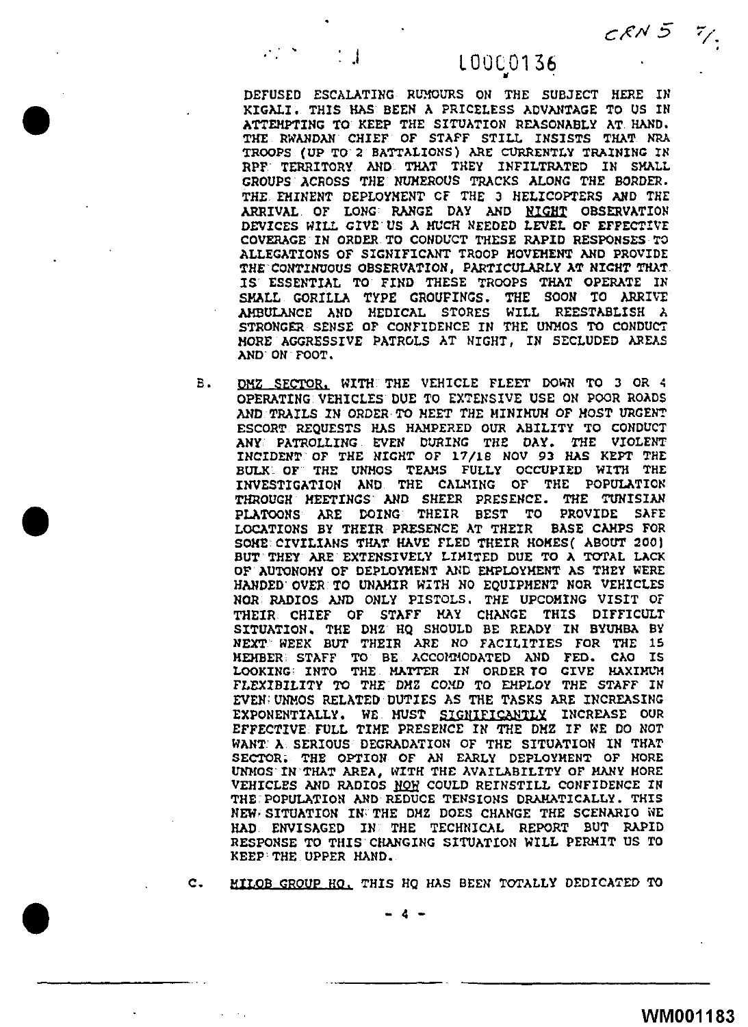### : .l LOOC0136

 $C$  $R$  $N$   $5$ 

.

" DEFUSED ESCALATING RID!OURS ON THE SUBJECT HERE IN KIGALI, THIS HAS BEEN A PRICELESS ADVANTAGE TO US IN ATTEMPTING TO KEEP THE SITUATION REASONABLY AT HAND. THE RWANDAN CHIEF OF STAFF STILL INSISTS THAT NRA TROOPS (UP TO 2 BATTALIONS) ARE CURRENTLY TRAINING IN RPF TERRITORY AND THAT THEY INFILTRATED *Ill* SMALL CROUPS ACROSS THE NUMEROUS TRACKS ALONG THE BORDER. THE EMINENT DEPLOYMENT CF THE 3 HELICOPTERS AND THE ARRIVAL OF LONG RANGE DAY AND NIGHT OBSERVATION DEVICES WILL GIVE'US *A* MUCH NEEDED LEVEL OF EFFECTIVE COVERAGE IN ORDER TO CONDUCT THESE RAPID RESPONSES *TO*  ALLEGATIONS OF SIGNIFICANT TROOP HOVEHENT AND PROVIDE THE· CONTINUOUS OBSERVATION, PARTICULARLY AT NIGHT THAT IS' ESSENTIAL TO FIND THESE TROOPS THAT OPERATE IN SMALL GORILLA TYPE GROUFINGS. THE SOON TO ARRIVE AMBULANCE AND MEDICAL STORES WILL REESTABLISH A STRONGER SENSE OF CONFIDENCE IN THE UNMOS TO CONDUCT MORE AGGRESSIVE PATROLS AT NIGHT, IN SECLUDED AREAS AND ON FOOT.

•

•

B. DMZ SECTOR. WITH THE VEHICLE FLEET DOWN TO 3 OR 4 OPERATING VEHICLES DUE TO EXTENSIVE USE ON POOR ROADS AND TRAILS IN ORDER TO NEET THE MINIMUM OF MOST URGENT ESCORT REQUESTS HAS HAMPERED OUR ABILITY TO CONDUCT AN'i PATROLLING EVEN DURING THE DAY, THE VIOLENT INCIDENT OF THE NIGHT OF 17/18 NOV 93 HAS KEPT THE BULK~ OF THE UNMOS TEAMS FULLY OCCUPIED WITH THE INVESTIGATION AND THE CALMING OF THE POPULATION THROUGH MEETINGS AND SHEER PRESENCE. THE TUNISIAN PLATOONS ARE DOING THEIR BEST TO PROVIDE SAFE LOCATIONS BY THEIR PRESENCE AT THEIR BASE CAMPS FOR SOHE·CIVILIANS THAT HAVE FLED THEIR HOKES( ABOUT 200) BUT THEY ARE EXTENSIVELY LIMITED DUE TO A TOTAL LACK OF AUTONOMY OF DEPLOYMENT AND EMPLOYMENT AS THEY WERE HANDED OVER TO UNAMIR WITH NO EQUIPMENT NOR VEHICLES NOR RADIOS AND ONLY PISTOLS. THE UPCOMING VISIT OF THEIR CHIEF OF STAFF KAY CHANGE THIS DIFFICULT SITUATION. THE DMZ HQ SHOULD BE READY IN BYUHBA BY NEXT WEEK BUT THEIR ARE NO FACILITIES FOR THE 15 MEMBER. STAFF TO BE ACCOHMODATED AND FED, CAO IS LOOKING: INTO THE MATTER IN ORDER TO GIVE HAXIMUM FLEXIBILITY TO THE DMZ COMD TO EMPLOY THE STAFF IN EVEN; UNMOS RELATED DUTIES AS THE TASKS ARE INCREASING EXPONENTIALLY. WE MUST SIGNIFICANTLY INCREASE OUR EFFECTIVE FULL TIME PRESEIICE IN THE DMZ IF WE DO NOT WANT: A SERIOUS DEGRADATION OF THE SITUATION IN THAT SECTOR. THE OPTION OF AN EARLY DEPLOYMENT OF HORE UNMOS IN THAT AREA, WITH THE AVAILABILITY OF MANY MORE VEHICLES AND RADIOS NOW COULD REINSTILL CONFIDENCE IN THE:POPULATION AND REDUCE TENSIONS DRAMATICALLY. THIS NEW SITUATION IN THE DMZ DOES CHANGE THE SCENARIO WE HAD ENVISAGED IN THE TECHNICAL REPORT BUT RAPID RESPONSE TO THIS CHANGING SITUATION WILL PERMIT US TO KEEP'THE UPPER HAND.

C. MII.OB GROUP HO. THIS HQ HAS BEEN TOTALLY DEDICATED TO

- 4 -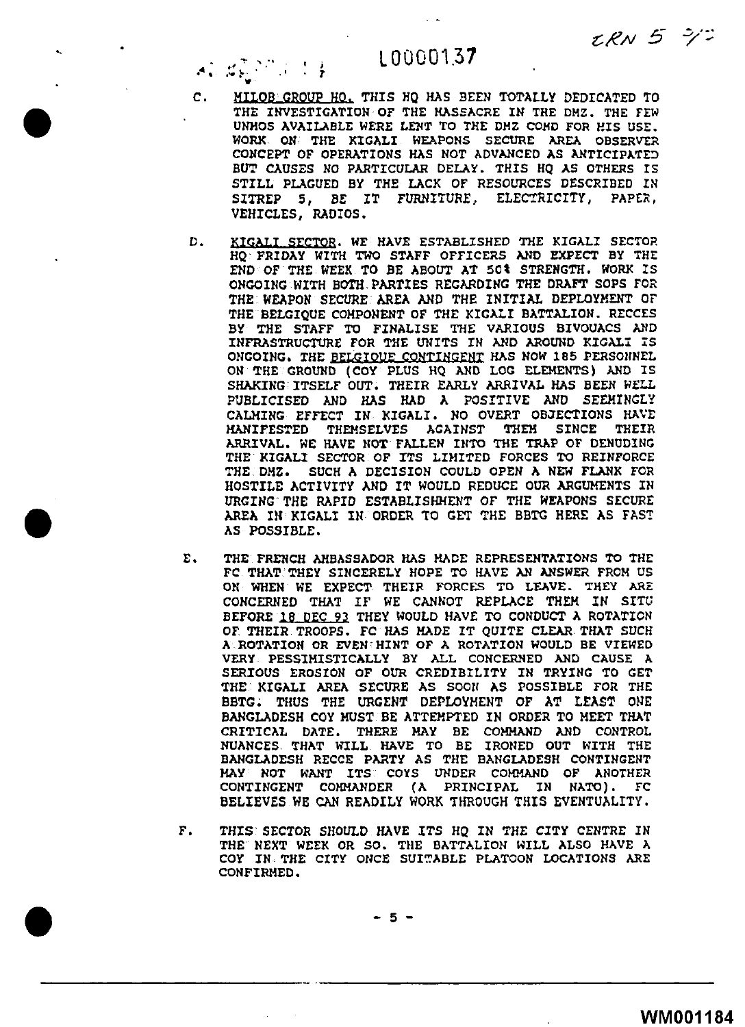$LRN$  5  $72$ 

## L 00001.37

'1"' .... ·-" . .... ' ... **1--** . .. • j . 1

*C.* HILOB'GROup HO. THIS HQ HAS BEEN TOTALLY DEDICATED TO THE INVESTIGATION OF THE MASSACRE IN THE DHZ. THE FEW UNHOS AVAILABLE WERE LENT TO THE DHZ COHO FOR HIS USE. WORK ON THE KIGALI WEAPONS SECURE AREA OBSERVER CONCEPT OF OPERATIONS HAS NOT ADVANCED AS ANTICIPATED BUT CAUSES NO PARTICULAR DELAY. THIS HQ AS OTHERS IS STILL PLAGUED BY THE LACK OF RESOURCES DESCRIBED IN SITREP 5, *BE* IT FURNITURE, ELECTRICITY, PAPER, VEHICLES, RADIOS.

•

•

- *D.* KIGALI SECTQB. WE HAVE ESTABLISHED THE KIGALI SECTOR HQ·FRIDAY WITH TWO STAFF OFFICERS AND EXPECT BY THE END OF THE WEEK TO BE ABOUT AT SOt STRENGTH. WORK IS ONGOING WITH BOTH. PARTIES REGARDING THE DRAFT SOPS FOR THE WEAPON SECURE AREA AND THE INITIAL DEPLOYMENT OF THE BELGIQUE COMPONENT OF THE KIGALI BATTALION. RECCES BY THE STAFF TO FINALISE THE VARIOUS BIVOUACS AND INFRASTRUCTURE FOR THE UNITS IN AND AROUND KIGALI IS ONGOING. THE BELGIOUE CONTINGENT HAS NOW 185 PERSONNEL ON THE GROUND (COY PLUS HQ AND LOG ELEMENTS) AND IS SHAKING'ITSELF OUT. THEIR EARLY ARRIVAL HAS BEEN WELL PUBLICISED AND HAS HAD  $\lambda$  positive and seemingly CALMING EFFECT IN KIGALI. NO OVERT OBJECTIONS HAVE<br>MANIFESTED THEMSELVES AGAINST THEM SINCE THEIR THEMSELVES ARRIVAL, WE HAVE NOT· FALLEN INTO THE TRAP OF DENUDING THE KIGALI SECTOR OF ITS LIMITED FORCES TO REINFORCE THE DMZ. SUCH A DECISION COULD OPEN A NEW FLANK FOR HOSTILE ACTIVITY AND IT WOULD REDUCE OUR ARGUMENTS IN URGING' THE RAPID ESTABLISHMENT OF THE WEAPONS SECURE AREA IN KIGALI IN ORDER TO GET THE BBTG HERE AS FAST AS POSSIBLE.
- E. THE FRENCH AMBASSADOR HAS MADE REPRESENTATIONS TO THE FC THAT THEY SINCERELY HOPE TO HAVE AN ANSWER FROM US ON WHEN WE EXPECT THEIR FORCES TO LEAVE. THEY ARE CONCERNED THAT IF WE CANNOT REPLACE THEM IN SITU BEFORE 18 DEC 93 THEY WOULD HAVE TO CONDUCT A ROTATION OF THEIR TROOPS. FC HAS HADE IT QUITE CLEAR THAT SUCH A.ROTATION OR EVEN'HINT OF A ROTATION WOULD BE VIEWED VERY PESSIMISTICALLY BY ALL CONCERNED AND CAUSE A SERIOUS EROSION OF OUR CREDIBILITY IN TRYING TO GET THE KIGALI AREA SECURE AS SOON AS POSSIBLE FOR THE BBTG; THUS THE URGENT DEPLOYMENT OF AT LEAST ONE BANGLADESH COY MUST BE ATTEMPTED IN ORDER TO MEET THAT CRITICAL DATE. THERE MAY BE COMMAND AND CONTROL NUANCES THAT WILL HAVE TO BE IRONED OUT WITH THE BANGLADESH RECCE PARTY AS THE BANGLADESH CONTINGENT MAY NOT WANT ITS COYS UNDER COMMAND OF ANOTHER CONTINGENT COMMANDER (A PRINCIPAL IN NATO). FC BELIEVES WE CAN READILY WORK THROUGH THIS EVENTUALITY.
- F. THIS' SECTOR SHOULD HAVE ITS HQ IN THE CITY CENTRE IN THE NEXT WEEK OR SO. THE BATTALION WILL ALSO HAVE A COY IN THE CITY ONCE SUITABLE PLATOON LOCATIONS ARE CONFIRMED.

 $\bullet$  -5-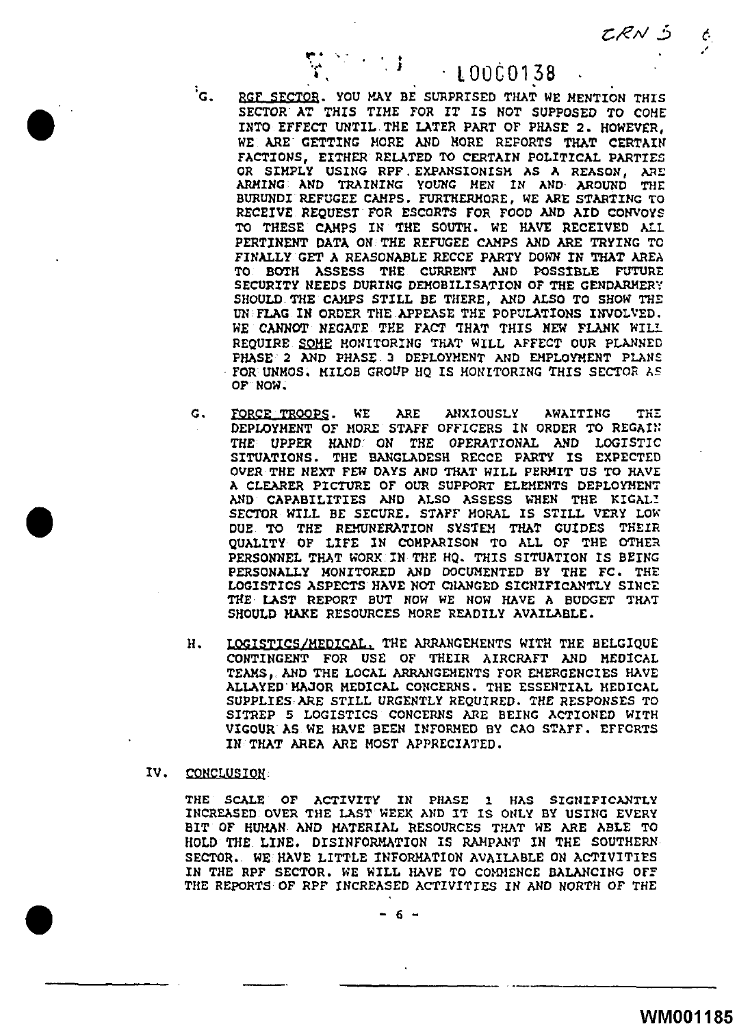CRN 5

/

 $\bm{\phi}_i$ 

. ' lOOC0138

'c. RGF SEC70B. YOU MAY BE SURPRISED THAT WE MENTION THIS SECTOR AT THIS TIME FOR IT IS NOT SUPPOSED TO COHE INTO EFFECT UNTIL THE LATER PART OF PHASE 2. HOWEVER, WE ARE GETTING MORE AND NORE REPORTS THAT CERTAIN FACTIONS, EITHER RELATED TO CERTAIN POLITICAL PARTIES OR SIMPLY USING RPF. EXPANSIONISM AS A REASON, ARE ARMING AND TRAINING YOUNG MEN IN AND AROUND THE BURUNDI REFUGEE CAMPS. FURTHERMORE, WE ARE STARTING TO RECEIVE REQUEST FOR ESCORTS FOR FOOD AND AID CONVOYS TO THESE CAMPS IN THE SOUTH. WE HAVE RECEIVED ALL PERTINENT DATA ON THE REFUGEE CAMPS AND ARE TRYING TO FINALLY GET A REASONABLE RECCE PARTY DOWN IN THAT AREA TO BOTH ASSESS THE CURRENT AND POSSIBLE FUTURE SECURITY NEEDS DURING DEMOBILISATION OF THE GENDARMERY SHOULD THE CAMPS STILL BE THERE, AND ALSO TO SHOW THE UN FLAG IN ORDER THE APPEASE THE POPULATIONS INVOLVED. WE CANNOT NEGATE THE FACT THAT THIS NEW FLANK WILL REQUIRE SOME MONITORING THAT WILL AFFECT OUR PLANNED PHASE 2 AND PHASE 3 DEPLOYMENT AND EMPLOYMENT PLANS FOR UNMOS, MILOB GROUP HQ IS MONITORING THIS SECTOR AS OF NOW.

.. • ·~ . • **<sup>t</sup>** ·.... . • . **J** 

- G. FORCE TROOPS. WE ARE ANXIOUSLY AWAITING THE DEPLOYMENT OF MORE STAFF OFFICERS IN ORDER TO REGAIN: THE tJPPER HAND ON THE OPERATIONAL AND LOGISTIC SITUATIONS. THE BMIGLhDESH RECCE PARTY IS EXPECTED OVER THE NEXT FEW DAYS ANO THAT WILL PERMIT US TO HAVE A CLEARER PICTURE OF OUR SUPPORT ELEMENTS DEPLOYMENT AND CAPABILITIES AND ALSO ASSESS WHEN THE KIGALI SECTOR WILL BE SECURE. STAFF MORAL IS STILL VERY LOW DUE TO THE REHUNERATION SYSTEM THAT GUIDES THEIR QUALITY OF LIFE IN COMPARISON TO ALL OF THE OTHER PERSONNEL THAT WORK IN THE HQ. THIS SITUATION IS BEING PERSONALLY MONITORED AND DOCUMENTED BY THE FC. THE LOGISTICS ASPECTS HAVE NOT CHANGED SIGNIFICANTLY SINCE THE LAST REPORT BUT NOW WE NOW HAVE A BUDGET THAT SHOULD HAKE RESOURCES MORE READILY AVAILABLE.
- H. LOGISTICS/MEDICAL. THE ARRANGEMENTS WITH THE BELGIQUE CONTINGENT FOR USE OF THEIR AIRCRAFT AND MEDICAL TEAMS, AND THE LOCAL ARRANGEMENTS FOR EMERGENCIES HAVE ALLAYED HAJOR MEDICAL CONCERNS. THE ESSENTIAL HEDICAL SUPPLIES ARE STILL URGENTLY REQUIRED. THE RESPONSES TO SITREP 5 LOGISTICS CONCERNS ARE BEING ACTIONED WITH VIGOUR AS WE HAVE BEEN INFORMED BY CAO STAFF. EFFORTS IN THAT AREA ARE MOST APPRECIATED.

IV. CONCLUSION:

•

THE SCALE OF ACTIVITY IN PHASE 1 HAS SIGNIFICANTLY INCREASED OVER THE LAST WEEK AND IT IS ONLY BY USING EVERY BIT OF HUMAN AND MATERIAL RESOURCES THAT WE ARE ABLE TO HOLD THE LINE. DISINFORMATION IS RAMPANT IN THE SOUTHERN SECTOR. WE HAVE LITTLE INFORMATION AVAILABLE ON ACTIVITIES IN THE RPF SECTOR. WE WILL HAVE TO COMMENCE BALANCING OFF THE REPORTS OF RPF INCREASED ACTIVITIES IN AND NORTH OF THE